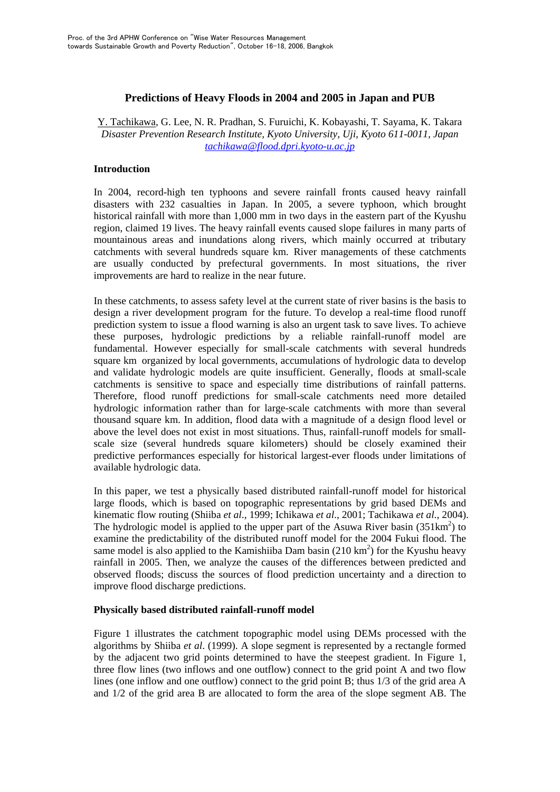# **Predictions of Heavy Floods in 2004 and 2005 in Japan and PUB**

Y. Tachikawa, G. Lee, N. R. Pradhan, S. Furuichi, K. Kobayashi, T. Sayama, K. Takara *Disaster Prevention Research Institute, Kyoto University, Uji, Kyoto 611-0011, Japan tachikawa@flood.dpri.kyoto-u.ac.jp* 

# **Introduction**

In 2004, record-high ten typhoons and severe rainfall fronts caused heavy rainfall disasters with 232 casualties in Japan. In 2005, a severe typhoon, which brought historical rainfall with more than 1,000 mm in two days in the eastern part of the Kyushu region, claimed 19 lives. The heavy rainfall events caused slope failures in many parts of mountainous areas and inundations along rivers, which mainly occurred at tributary catchments with several hundreds square km. River managements of these catchments are usually conducted by prefectural governments. In most situations, the river improvements are hard to realize in the near future.

In these catchments, to assess safety level at the current state of river basins is the basis to design a river development program for the future. To develop a real-time flood runoff prediction system to issue a flood warning is also an urgent task to save lives. To achieve these purposes, hydrologic predictions by a reliable rainfall-runoff model are fundamental. However especially for small-scale catchments with several hundreds square km organized by local governments, accumulations of hydrologic data to develop and validate hydrologic models are quite insufficient. Generally, floods at small-scale catchments is sensitive to space and especially time distributions of rainfall patterns. Therefore, flood runoff predictions for small-scale catchments need more detailed hydrologic information rather than for large-scale catchments with more than several thousand square km. In addition, flood data with a magnitude of a design flood level or above the level does not exist in most situations. Thus, rainfall-runoff models for smallscale size (several hundreds square kilometers) should be closely examined their predictive performances especially for historical largest-ever floods under limitations of available hydrologic data.

In this paper, we test a physically based distributed rainfall-runoff model for historical large floods, which is based on topographic representations by grid based DEMs and kinematic flow routing (Shiiba *et al*., 1999; Ichikawa *et al*., 2001; Tachikawa *et al*., 2004). The hydrologic model is applied to the upper part of the Asuwa River basin  $(351 \text{km}^2)$  to examine the predictability of the distributed runoff model for the 2004 Fukui flood. The same model is also applied to the Kamishiiba Dam basin  $(210 \text{ km}^2)$  for the Kyushu heavy rainfall in 2005. Then, we analyze the causes of the differences between predicted and observed floods; discuss the sources of flood prediction uncertainty and a direction to improve flood discharge predictions.

# **Physically based distributed rainfall-runoff model**

Figure 1 illustrates the catchment topographic model using DEMs processed with the algorithms by Shiiba *et al*. (1999). A slope segment is represented by a rectangle formed by the adjacent two grid points determined to have the steepest gradient. In Figure 1, three flow lines (two inflows and one outflow) connect to the grid point A and two flow lines (one inflow and one outflow) connect to the grid point B; thus 1/3 of the grid area A and 1/2 of the grid area B are allocated to form the area of the slope segment AB. The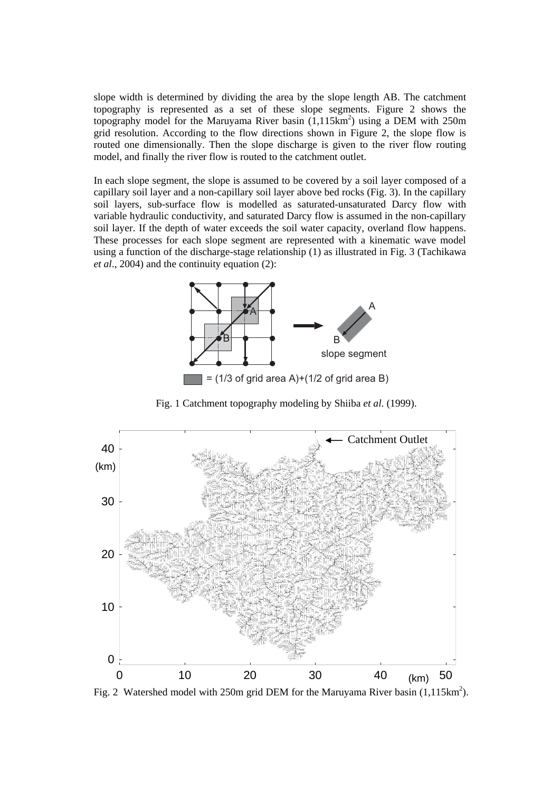slope width is determined by dividing the area by the slope length AB. The catchment topography is represented as a set of these slope segments. Figure 2 shows the topography model for the Maruyama River basin  $(1,115km^2)$  using a DEM with 250m grid resolution. According to the flow directions shown in Figure 2, the slope flow is routed one dimensionally. Then the slope discharge is given to the river flow routing model, and finally the river flow is routed to the catchment outlet.

In each slope segment, the slope is assumed to be covered by a soil layer composed of a capillary soil layer and a non-capillary soil layer above bed rocks (Fig. 3). In the capillary soil layers, sub-surface flow is modelled as saturated-unsaturated Darcy flow with variable hydraulic conductivity, and saturated Darcy flow is assumed in the non-capillary soil layer. If the depth of water exceeds the soil water capacity, overland flow happens. These processes for each slope segment are represented with a kinematic wave model using a function of the discharge-stage relationship (1) as illustrated in Fig. 3 (Tachikawa *et al*., 2004) and the continuity equation (2):



Fig. 1 Catchment topography modeling by Shiiba *et al*. (1999).



Fig. 2 Watershed model with 250m grid DEM for the Maruyama River basin  $(1,115km^2)$ .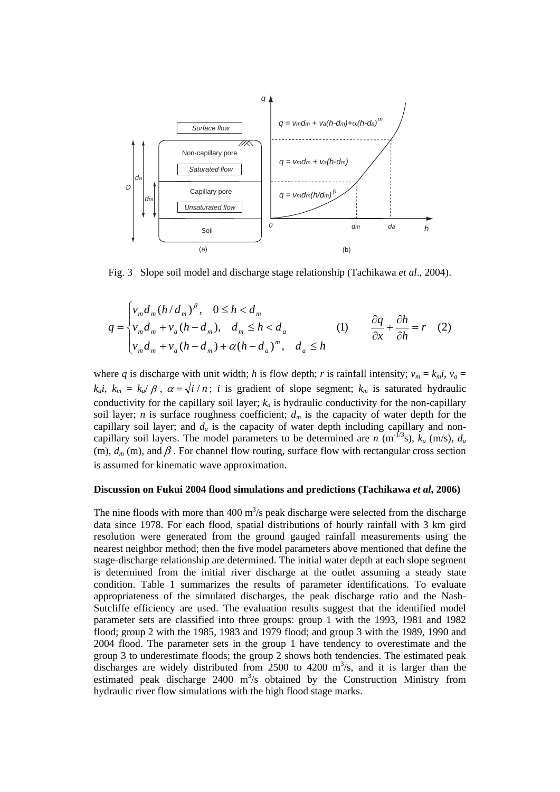

Fig. 3 Slope soil model and discharge stage relationship (Tachikawa *et al*., 2004).

$$
q = \begin{cases} v_m d_m (h/d_m)^{\beta}, & 0 \le h < d_m \\ v_m d_m + v_a (h - d_m), & d_m \le h < d_a \\ v_m d_m + v_a (h - d_m) + \alpha (h - d_a)^m, & d_a \le h \end{cases} \qquad (1) \qquad \frac{\partial q}{\partial x} + \frac{\partial h}{\partial h} = r \quad (2)
$$

where *q* is discharge with unit width; *h* is flow depth; *r* is rainfall intensity;  $v_m = k_m i$ ,  $v_a =$  $k_a i$ ,  $k_m = k_{a} / \beta$ ,  $\alpha = \sqrt{i} / n$ ; *i* is gradient of slope segment;  $k_m$  is saturated hydraulic conductivity for the capillary soil layer;  $k_a$  is hydraulic conductivity for the non-capillary soil layer; *n* is surface roughness coefficient;  $d_m$  is the capacity of water depth for the capillary soil layer; and  $d_a$  is the capacity of water depth including capillary and noncapillary soil layers. The model parameters to be determined are *n* (m<sup>-1/3</sup>s),  $k_a$  (m/s),  $d_a$ (m),  $d_m$  (m), and  $\beta$ . For channel flow routing, surface flow with rectangular cross section is assumed for kinematic wave approximation.

### **Discussion on Fukui 2004 flood simulations and predictions (Tachikawa** *et al***, 2006)**

The nine floods with more than  $400 \text{ m}^3/\text{s}$  peak discharge were selected from the discharge data since 1978. For each flood, spatial distributions of hourly rainfall with 3 km gird resolution were generated from the ground gauged rainfall measurements using the nearest neighbor method; then the five model parameters above mentioned that define the stage-discharge relationship are determined. The initial water depth at each slope segment is determined from the initial river discharge at the outlet assuming a steady state condition. Table 1 summarizes the results of parameter identifications. To evaluate appropriateness of the simulated discharges, the peak discharge ratio and the Nash-Sutcliffe efficiency are used. The evaluation results suggest that the identified model parameter sets are classified into three groups: group 1 with the 1993, 1981 and 1982 flood; group 2 with the 1985, 1983 and 1979 flood; and group 3 with the 1989, 1990 and 2004 flood. The parameter sets in the group 1 have tendency to overestimate and the group 3 to underestimate floods; the group 2 shows both tendencies. The estimated peak discharges are widely distributed from  $2500$  to  $4200$  m<sup>3</sup>/s, and it is larger than the estimated peak discharge  $2400 \text{ m}^3$ /s obtained by the Construction Ministry from hydraulic river flow simulations with the high flood stage marks.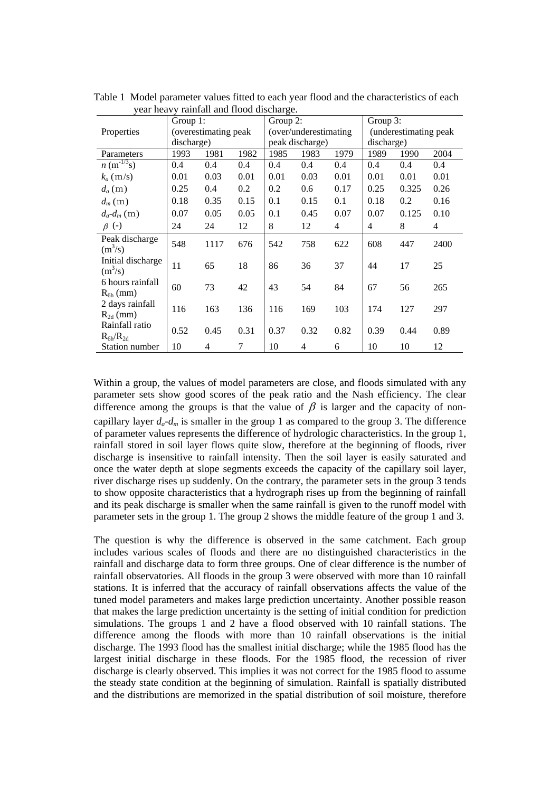|                                   | $1000$ $1000$ $1000$ $1000$ $1000$<br>Group $1$ : |      |      | Group 2:              |                |                | Group 3:              |       |                |
|-----------------------------------|---------------------------------------------------|------|------|-----------------------|----------------|----------------|-----------------------|-------|----------------|
| Properties                        | (overestimating peak                              |      |      | (over/underestimating |                |                | (underestimating peak |       |                |
|                                   | discharge)                                        |      |      | peak discharge)       |                |                | discharge)            |       |                |
| Parameters                        | 1993                                              | 1981 | 1982 | 1985                  | 1983           | 1979           | 1989                  | 1990  | 2004           |
| $n \, (\text{m}^{-1/3}\text{s})$  | 0.4                                               | 0.4  | 0.4  | 0.4                   | 0.4            | 0.4            | 0.4                   | 0.4   | 0.4            |
| $k_a$ (m/s)                       | 0.01                                              | 0.03 | 0.01 | 0.01                  | 0.03           | 0.01           | 0.01                  | 0.01  | 0.01           |
| $d_a(m)$                          | 0.25                                              | 0.4  | 0.2  | 0.2                   | 0.6            | 0.17           | 0.25                  | 0.325 | 0.26           |
| $d_m(m)$                          | 0.18                                              | 0.35 | 0.15 | 0.1                   | 0.15           | 0.1            | 0.18                  | 0.2   | 0.16           |
| $d_a-d_m(m)$                      | 0.07                                              | 0.05 | 0.05 | 0.1                   | 0.45           | 0.07           | 0.07                  | 0.125 | 0.10           |
| $\beta$ (-)                       | 24                                                | 24   | 12   | 8                     | 12             | $\overline{4}$ | 4                     | 8     | $\overline{4}$ |
| Peak discharge<br>$(m^3/s)$       | 548                                               | 1117 | 676  | 542                   | 758            | 622            | 608                   | 447   | 2400           |
| Initial discharge<br>$(m^3/s)$    | 11                                                | 65   | 18   | 86                    | 36             | 37             | 44                    | 17    | 25             |
| 6 hours rainfall<br>$R_{6h}$ (mm) | 60                                                | 73   | 42   | 43                    | 54             | 84             | 67                    | 56    | 265            |
| 2 days rainfall<br>$R_{2d}$ (mm)  | 116                                               | 163  | 136  | 116                   | 169            | 103            | 174                   | 127   | 297            |
| Rainfall ratio<br>$R_{6h}/R_{2d}$ | 0.52                                              | 0.45 | 0.31 | 0.37                  | 0.32           | 0.82           | 0.39                  | 0.44  | 0.89           |
| Station number                    | 10                                                | 4    | 7    | 10                    | $\overline{4}$ | 6              | 10                    | 10    | 12             |

Table 1 Model parameter values fitted to each year flood and the characteristics of each year heavy rainfall and flood discharge.

Within a group, the values of model parameters are close, and floods simulated with any parameter sets show good scores of the peak ratio and the Nash efficiency. The clear difference among the groups is that the value of  $\beta$  is larger and the capacity of noncapillary layer  $d_a$ - $d_m$  is smaller in the group 1 as compared to the group 3. The difference of parameter values represents the difference of hydrologic characteristics. In the group 1, rainfall stored in soil layer flows quite slow, therefore at the beginning of floods, river discharge is insensitive to rainfall intensity. Then the soil layer is easily saturated and once the water depth at slope segments exceeds the capacity of the capillary soil layer, river discharge rises up suddenly. On the contrary, the parameter sets in the group 3 tends to show opposite characteristics that a hydrograph rises up from the beginning of rainfall and its peak discharge is smaller when the same rainfall is given to the runoff model with parameter sets in the group 1. The group 2 shows the middle feature of the group 1 and 3.

The question is why the difference is observed in the same catchment. Each group includes various scales of floods and there are no distinguished characteristics in the rainfall and discharge data to form three groups. One of clear difference is the number of rainfall observatories. All floods in the group 3 were observed with more than 10 rainfall stations. It is inferred that the accuracy of rainfall observations affects the value of the tuned model parameters and makes large prediction uncertainty. Another possible reason that makes the large prediction uncertainty is the setting of initial condition for prediction simulations. The groups 1 and 2 have a flood observed with 10 rainfall stations. The difference among the floods with more than 10 rainfall observations is the initial discharge. The 1993 flood has the smallest initial discharge; while the 1985 flood has the largest initial discharge in these floods. For the 1985 flood, the recession of river discharge is clearly observed. This implies it was not correct for the 1985 flood to assume the steady state condition at the beginning of simulation. Rainfall is spatially distributed and the distributions are memorized in the spatial distribution of soil moisture, therefore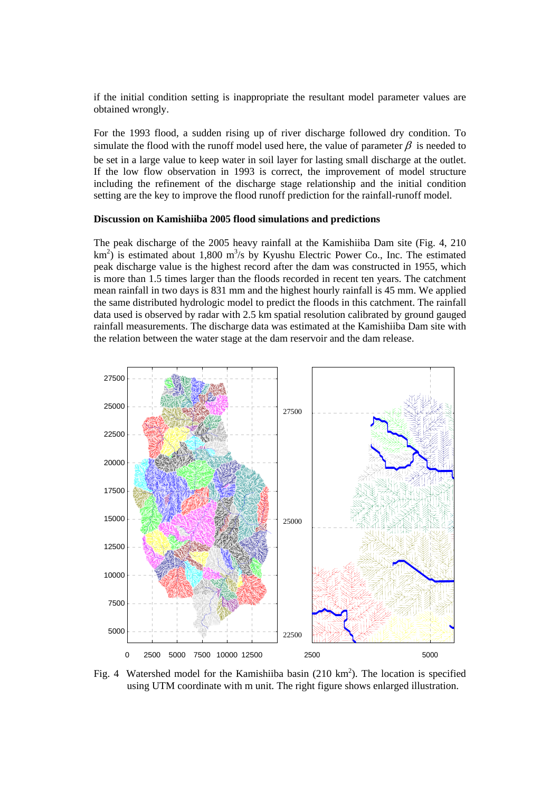if the initial condition setting is inappropriate the resultant model parameter values are obtained wrongly.

For the 1993 flood, a sudden rising up of river discharge followed dry condition. To simulate the flood with the runoff model used here, the value of parameter  $\beta$  is needed to

be set in a large value to keep water in soil layer for lasting small discharge at the outlet. If the low flow observation in 1993 is correct, the improvement of model structure including the refinement of the discharge stage relationship and the initial condition setting are the key to improve the flood runoff prediction for the rainfall-runoff model.

#### **Discussion on Kamishiiba 2005 flood simulations and predictions**

The peak discharge of the 2005 heavy rainfall at the Kamishiiba Dam site (Fig. 4, 210  $km^2$ ) is estimated about 1,800 m<sup>3</sup>/s by Kyushu Electric Power Co., Inc. The estimated peak discharge value is the highest record after the dam was constructed in 1955, which is more than 1.5 times larger than the floods recorded in recent ten years. The catchment mean rainfall in two days is 831 mm and the highest hourly rainfall is 45 mm. We applied the same distributed hydrologic model to predict the floods in this catchment. The rainfall data used is observed by radar with 2.5 km spatial resolution calibrated by ground gauged rainfall measurements. The discharge data was estimated at the Kamishiiba Dam site with the relation between the water stage at the dam reservoir and the dam release.



Fig. 4 Watershed model for the Kamishiiba basin  $(210 \text{ km}^2)$ . The location is specified using UTM coordinate with m unit. The right figure shows enlarged illustration.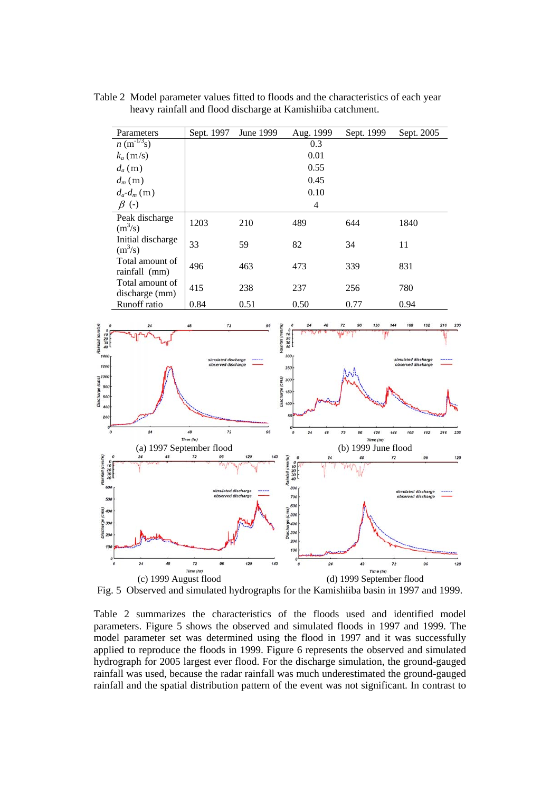Parameters Sept. 1997 June 1999 Aug. 1999 Sept. 1999 Sept. 2005  $n \text{ (m}^{-1/3}\text{s)}$  0.3  $k_a$  (m/s) 0.01  $d_a(m)$  0.55  $d_m(m)$  0.45  $d_a - d_m$  (m) 0.10<br>  $\beta$  (-) 4  $\beta$  (-) 4 Peak discharge /s) 1203 210 489 644 1840  $(m^3/s)$ Initial discharge  $\begin{array}{|l|l|} \hline \end{array}$  33 59 82 34 11  $(m<sup>3</sup>/s)$ Total amount of rainfall (mm) 496 463 473 339 831 Total amount of discharge (mm)  $\begin{vmatrix} 415 \\ 0.84 \end{vmatrix}$  238 237 256 780<br>
Runoff ratio  $\begin{vmatrix} 415 \\ 0.84 \end{vmatrix}$  238 237 256 780 Runoff ratio  $\begin{array}{ccc} 0.84 & 0.51 & 0.50 & 0.77 \end{array}$ 72  $\frac{10}{20}$ <br> $\frac{30}{40}$  $\frac{10}{20}$ <br> $\frac{30}{40}$ 15 Disc  $24$ 48  $\overline{12}$ 120 144 192  $\overline{21}$ Time (hr) Time (hr) (a) 1997 September flood<br>  $\begin{array}{ccccc}\n & & & & & \\
\hline\n\frac{1997}{48} & & \frac{1996}{120} & & \frac{1996}{160} & & \frac{19996}{160} & & \frac{19996}{160} \\
 & & & & & & & \\
\hline\n\end{array}$  $\frac{10}{20}$ <br> $\frac{30}{40}$  $\frac{10}{20}$ <br> $\frac{30}{40}$ ed discharg 40  $\overline{24}$ 48  $72$ 120 143  $\overline{24}$ 48  $\overline{12}$ 96  $120$  $\begin{array}{lll} \tau_{line\,(tot)} & \tau_{line\,(tot)} \\ \hline \end{array}$  (c) 1999 August flood (d) 1999 September flood

Table 2 Model parameter values fitted to floods and the characteristics of each year heavy rainfall and flood discharge at Kamishiiba catchment.

Fig. 5 Observed and simulated hydrographs for the Kamishiiba basin in 1997 and 1999.

Table 2 summarizes the characteristics of the floods used and identified model parameters. Figure 5 shows the observed and simulated floods in 1997 and 1999. The model parameter set was determined using the flood in 1997 and it was successfully applied to reproduce the floods in 1999. Figure 6 represents the observed and simulated hydrograph for 2005 largest ever flood. For the discharge simulation, the ground-gauged rainfall was used, because the radar rainfall was much underestimated the ground-gauged rainfall and the spatial distribution pattern of the event was not significant. In contrast to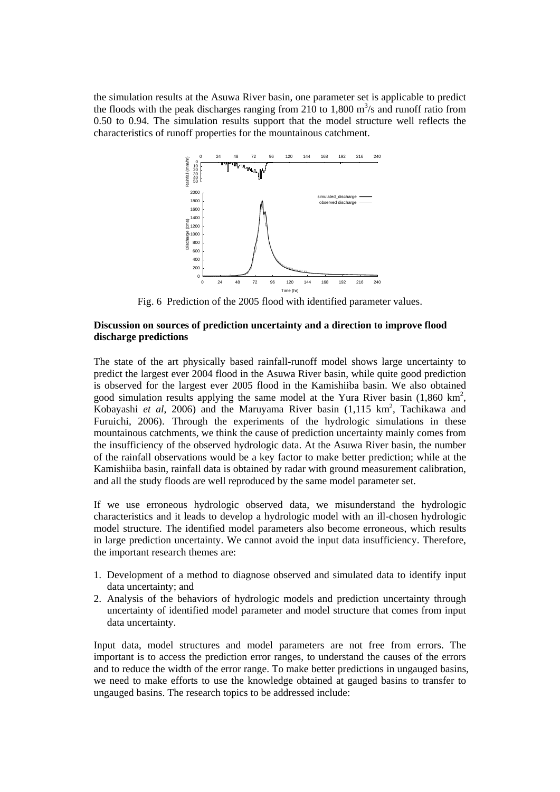the simulation results at the Asuwa River basin, one parameter set is applicable to predict the floods with the peak discharges ranging from 210 to 1,800  $\text{m}^3\text{/s}$  and runoff ratio from 0.50 to 0.94. The simulation results support that the model structure well reflects the characteristics of runoff properties for the mountainous catchment.



Fig. 6 Prediction of the 2005 flood with identified parameter values.

## **Discussion on sources of prediction uncertainty and a direction to improve flood discharge predictions**

The state of the art physically based rainfall-runoff model shows large uncertainty to predict the largest ever 2004 flood in the Asuwa River basin, while quite good prediction is observed for the largest ever 2005 flood in the Kamishiiba basin. We also obtained good simulation results applying the same model at the Yura River basin  $(1,860 \text{ km}^2,$ Kobayashi et al, 2006) and the Maruyama River basin (1,115 km<sup>2</sup>, Tachikawa and Furuichi, 2006). Through the experiments of the hydrologic simulations in these mountainous catchments, we think the cause of prediction uncertainty mainly comes from the insufficiency of the observed hydrologic data. At the Asuwa River basin, the number of the rainfall observations would be a key factor to make better prediction; while at the Kamishiiba basin, rainfall data is obtained by radar with ground measurement calibration, and all the study floods are well reproduced by the same model parameter set.

If we use erroneous hydrologic observed data, we misunderstand the hydrologic characteristics and it leads to develop a hydrologic model with an ill-chosen hydrologic model structure. The identified model parameters also become erroneous, which results in large prediction uncertainty. We cannot avoid the input data insufficiency. Therefore, the important research themes are:

- 1. Development of a method to diagnose observed and simulated data to identify input data uncertainty; and
- 2. Analysis of the behaviors of hydrologic models and prediction uncertainty through uncertainty of identified model parameter and model structure that comes from input data uncertainty.

Input data, model structures and model parameters are not free from errors. The important is to access the prediction error ranges, to understand the causes of the errors and to reduce the width of the error range. To make better predictions in ungauged basins, we need to make efforts to use the knowledge obtained at gauged basins to transfer to ungauged basins. The research topics to be addressed include: